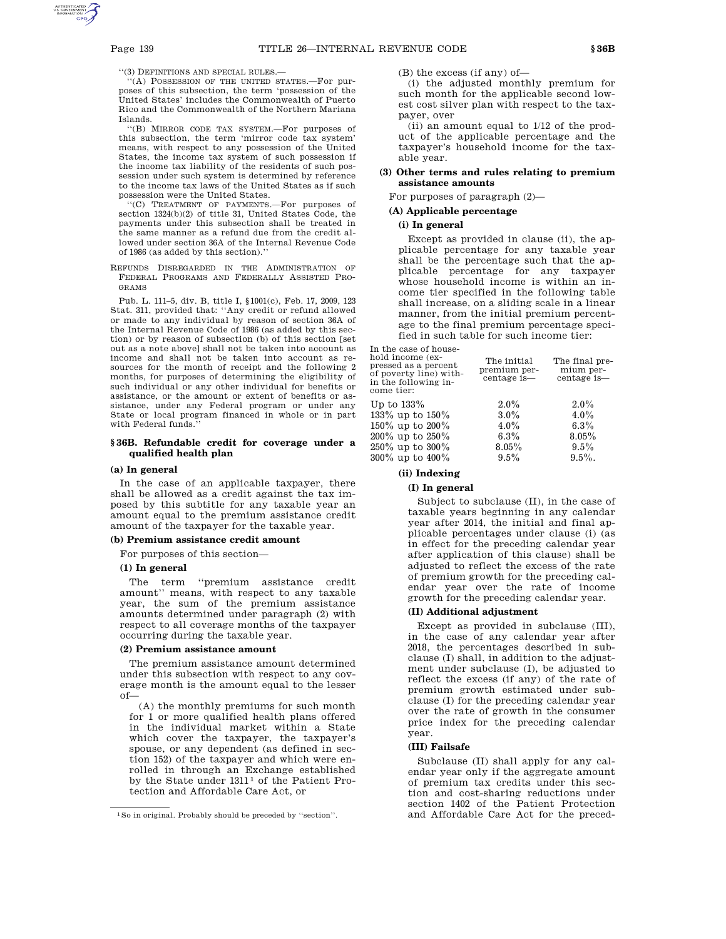The final premium percentage is—

''(3) DEFINITIONS AND SPECIAL RULES.—

''(A) POSSESSION OF THE UNITED STATES.—For purposes of this subsection, the term 'possession of the United States' includes the Commonwealth of Puerto Rico and the Commonwealth of the Northern Mariana Islands.

''(B) MIRROR CODE TAX SYSTEM.—For purposes of this subsection, the term 'mirror code tax system' means, with respect to any possession of the United States, the income tax system of such possession if the income tax liability of the residents of such possession under such system is determined by reference to the income tax laws of the United States as if such possession were the United States.

''(C) TREATMENT OF PAYMENTS.—For purposes of section 1324(b)(2) of title 31, United States Code, the payments under this subsection shall be treated in the same manner as a refund due from the credit allowed under section 36A of the Internal Revenue Code of 1986 (as added by this section).''

REFUNDS DISREGARDED IN THE ADMINISTRATION OF FEDERAL PROGRAMS AND FEDERALLY ASSISTED PRO-GRAMS

Pub. L. 111–5, div. B, title I, §1001(c), Feb. 17, 2009, 123 Stat. 311, provided that: ''Any credit or refund allowed or made to any individual by reason of section 36A of the Internal Revenue Code of 1986 (as added by this section) or by reason of subsection (b) of this section [set out as a note above] shall not be taken into account as income and shall not be taken into account as resources for the month of receipt and the following 2 months, for purposes of determining the eligibility of such individual or any other individual for benefits or assistance, or the amount or extent of benefits or assistance, under any Federal program or under any State or local program financed in whole or in part with Federal funds.

## **§ 36B. Refundable credit for coverage under a qualified health plan**

#### **(a) In general**

In the case of an applicable taxpayer, there shall be allowed as a credit against the tax imposed by this subtitle for any taxable year an amount equal to the premium assistance credit amount of the taxpayer for the taxable year.

# **(b) Premium assistance credit amount**

For purposes of this section—

#### **(1) In general**

The term ''premium assistance credit amount'' means, with respect to any taxable year, the sum of the premium assistance amounts determined under paragraph (2) with respect to all coverage months of the taxpayer occurring during the taxable year.

#### **(2) Premium assistance amount**

The premium assistance amount determined under this subsection with respect to any coverage month is the amount equal to the lesser of—

(A) the monthly premiums for such month for 1 or more qualified health plans offered in the individual market within a State which cover the taxpayer, the taxpayer's spouse, or any dependent (as defined in section 152) of the taxpayer and which were enrolled in through an Exchange established by the State under 1311<sup>1</sup> of the Patient Protection and Affordable Care Act, or

(B) the excess (if any) of—

(i) the adjusted monthly premium for such month for the applicable second lowest cost silver plan with respect to the taxpayer, over

(ii) an amount equal to 1/12 of the product of the applicable percentage and the taxpayer's household income for the taxable year.

## **(3) Other terms and rules relating to premium assistance amounts**

For purposes of paragraph (2)—

## **(A) Applicable percentage**

#### **(i) In general**

Except as provided in clause (ii), the applicable percentage for any taxable year shall be the percentage such that the applicable percentage for any taxpayer whose household income is within an income tier specified in the following table shall increase, on a sliding scale in a linear manner, from the initial premium percentage to the final premium percentage specified in such table for such income tier:

In the case of household income (expressed as a percent of poverty line) within the following income tier: The initial premium percentage is—

| Up to 133%      | $2.0\%$  | $2.0\%$   |
|-----------------|----------|-----------|
| 133% up to 150% | $3.0\%$  | $4.0\%$   |
| 150% up to 200% | $4.0\%$  | $6.3\%$   |
| 200% up to 250% | $6.3\%$  | $8.05\%$  |
| 250% up to 300% | $8.05\%$ | $9.5\%$   |
| 300% up to 400% | $9.5\%$  | $9.5\%$ . |

## **(ii) Indexing**

## **(I) In general**

Subject to subclause (II), in the case of taxable years beginning in any calendar year after 2014, the initial and final applicable percentages under clause (i) (as in effect for the preceding calendar year after application of this clause) shall be adjusted to reflect the excess of the rate of premium growth for the preceding calendar year over the rate of income growth for the preceding calendar year.

## **(II) Additional adjustment**

Except as provided in subclause (III), in the case of any calendar year after 2018, the percentages described in subclause (I) shall, in addition to the adjustment under subclause (I), be adjusted to reflect the excess (if any) of the rate of premium growth estimated under subclause (I) for the preceding calendar year over the rate of growth in the consumer price index for the preceding calendar year.

#### **(III) Failsafe**

Subclause (II) shall apply for any calendar year only if the aggregate amount of premium tax credits under this section and cost-sharing reductions under section 1402 of the Patient Protection and Affordable Care Act for the preced-

<sup>1</sup>So in original. Probably should be preceded by ''section''.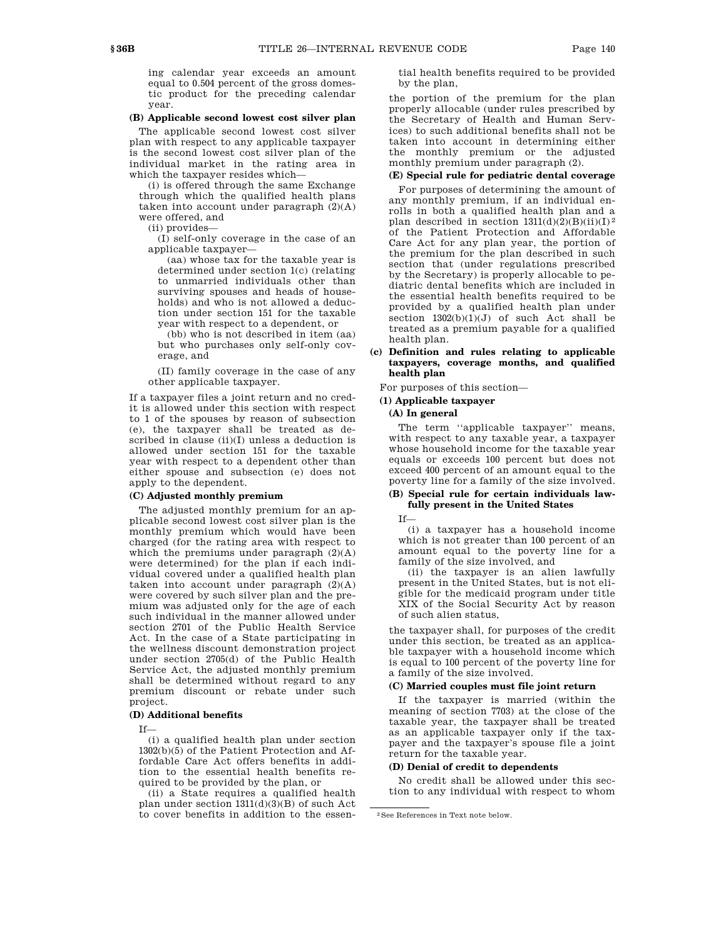ing calendar year exceeds an amount equal to 0.504 percent of the gross domestic product for the preceding calendar year.

## **(B) Applicable second lowest cost silver plan**

The applicable second lowest cost silver plan with respect to any applicable taxpayer is the second lowest cost silver plan of the individual market in the rating area in which the taxpayer resides which—

(i) is offered through the same Exchange through which the qualified health plans taken into account under paragraph  $(2)(A)$ were offered, and

(ii) provides—

(I) self-only coverage in the case of an applicable taxpayer—

(aa) whose tax for the taxable year is determined under section 1(c) (relating to unmarried individuals other than surviving spouses and heads of households) and who is not allowed a deduction under section 151 for the taxable year with respect to a dependent, or

(bb) who is not described in item (aa) but who purchases only self-only coverage, and

(II) family coverage in the case of any other applicable taxpayer.

If a taxpayer files a joint return and no credit is allowed under this section with respect to 1 of the spouses by reason of subsection (e), the taxpayer shall be treated as described in clause (ii)(I) unless a deduction is allowed under section 151 for the taxable year with respect to a dependent other than either spouse and subsection (e) does not apply to the dependent.

## **(C) Adjusted monthly premium**

The adjusted monthly premium for an applicable second lowest cost silver plan is the monthly premium which would have been charged (for the rating area with respect to which the premiums under paragraph  $(2)(A)$ were determined) for the plan if each individual covered under a qualified health plan taken into account under paragraph  $(2)(A)$ were covered by such silver plan and the premium was adjusted only for the age of each such individual in the manner allowed under section 2701 of the Public Health Service Act. In the case of a State participating in the wellness discount demonstration project under section 2705(d) of the Public Health Service Act, the adjusted monthly premium shall be determined without regard to any premium discount or rebate under such project.

## **(D) Additional benefits**

If—

(i) a qualified health plan under section 1302(b)(5) of the Patient Protection and Affordable Care Act offers benefits in addition to the essential health benefits required to be provided by the plan, or

(ii) a State requires a qualified health plan under section 1311(d)(3)(B) of such Act to cover benefits in addition to the essential health benefits required to be provided by the plan,

the portion of the premium for the plan properly allocable (under rules prescribed by the Secretary of Health and Human Services) to such additional benefits shall not be taken into account in determining either the monthly premium or the adjusted monthly premium under paragraph (2).

# **(E) Special rule for pediatric dental coverage**

For purposes of determining the amount of any monthly premium, if an individual enrolls in both a qualified health plan and a plan described in section  $1311(d)(2)(B)(ii)(I)<sup>2</sup>$ of the Patient Protection and Affordable Care Act for any plan year, the portion of the premium for the plan described in such section that (under regulations prescribed by the Secretary) is properly allocable to pediatric dental benefits which are included in the essential health benefits required to be provided by a qualified health plan under section  $1302(b)(1)(J)$  of such Act shall be treated as a premium payable for a qualified health plan.

## **(c) Definition and rules relating to applicable taxpayers, coverage months, and qualified health plan**

For purposes of this section—

#### **(1) Applicable taxpayer**

#### **(A) In general**

The term ''applicable taxpayer'' means, with respect to any taxable year, a taxpayer whose household income for the taxable year equals or exceeds 100 percent but does not exceed 400 percent of an amount equal to the poverty line for a family of the size involved.

# **(B) Special rule for certain individuals lawfully present in the United States**

## If—

(i) a taxpayer has a household income which is not greater than 100 percent of an amount equal to the poverty line for a family of the size involved, and

(ii) the taxpayer is an alien lawfully present in the United States, but is not eligible for the medicaid program under title XIX of the Social Security Act by reason of such alien status,

the taxpayer shall, for purposes of the credit under this section, be treated as an applicable taxpayer with a household income which is equal to 100 percent of the poverty line for a family of the size involved.

## **(C) Married couples must file joint return**

If the taxpayer is married (within the meaning of section 7703) at the close of the taxable year, the taxpayer shall be treated as an applicable taxpayer only if the taxpayer and the taxpayer's spouse file a joint return for the taxable year.

## **(D) Denial of credit to dependents**

No credit shall be allowed under this section to any individual with respect to whom

<sup>2</sup>See References in Text note below.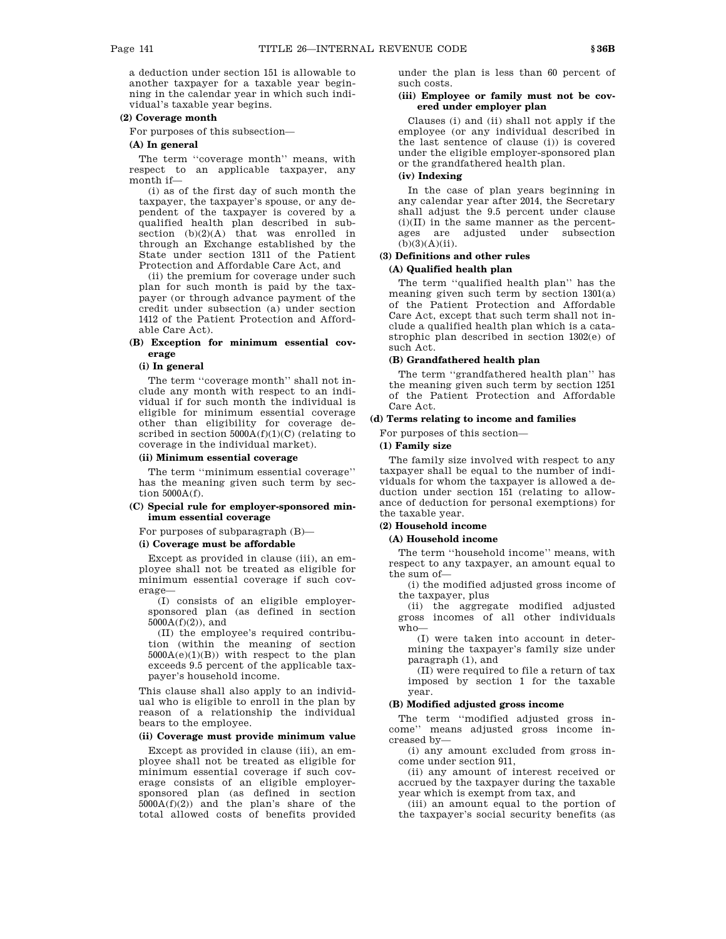a deduction under section 151 is allowable to another taxpayer for a taxable year beginning in the calendar year in which such individual's taxable year begins.

## **(2) Coverage month**

For purposes of this subsection—

# **(A) In general**

The term "coverage month" means, with respect to an applicable taxpayer, any month if—

(i) as of the first day of such month the taxpayer, the taxpayer's spouse, or any dependent of the taxpayer is covered by a qualified health plan described in subsection (b)(2)(A) that was enrolled in through an Exchange established by the State under section 1311 of the Patient Protection and Affordable Care Act, and

(ii) the premium for coverage under such plan for such month is paid by the taxpayer (or through advance payment of the credit under subsection (a) under section 1412 of the Patient Protection and Affordable Care Act).

## **(B) Exception for minimum essential coverage**

#### **(i) In general**

The term "coverage month" shall not include any month with respect to an individual if for such month the individual is eligible for minimum essential coverage other than eligibility for coverage described in section  $5000A(f)(1)(C)$  (relating to coverage in the individual market).

#### **(ii) Minimum essential coverage**

The term ''minimum essential coverage'' has the meaning given such term by section 5000A(f).

## **(C) Special rule for employer-sponsored minimum essential coverage**

For purposes of subparagraph (B)—

#### **(i) Coverage must be affordable**

Except as provided in clause (iii), an employee shall not be treated as eligible for minimum essential coverage if such coverage—

(I) consists of an eligible employersponsored plan (as defined in section  $5000A(f)(2)$ , and

(II) the employee's required contribution (within the meaning of section  $5000A(e)(1)(B)$  with respect to the plan exceeds 9.5 percent of the applicable taxpayer's household income.

This clause shall also apply to an individual who is eligible to enroll in the plan by reason of a relationship the individual bears to the employee.

# **(ii) Coverage must provide minimum value**

Except as provided in clause (iii), an employee shall not be treated as eligible for minimum essential coverage if such coverage consists of an eligible employersponsored plan (as defined in section  $5000A(f)(2)$  and the plan's share of the total allowed costs of benefits provided

under the plan is less than 60 percent of such costs.

## **(iii) Employee or family must not be covered under employer plan**

Clauses (i) and (ii) shall not apply if the employee (or any individual described in the last sentence of clause (i)) is covered under the eligible employer-sponsored plan or the grandfathered health plan.

# **(iv) Indexing**

In the case of plan years beginning in any calendar year after 2014, the Secretary shall adjust the 9.5 percent under clause  $(i)(II)$  in the same manner as the percentages are adjusted under subsection  $(b)(3)(A)(ii)$ .

# **(3) Definitions and other rules**

## **(A) Qualified health plan**

The term ''qualified health plan'' has the meaning given such term by section 1301(a) of the Patient Protection and Affordable Care Act, except that such term shall not include a qualified health plan which is a catastrophic plan described in section 1302(e) of such Act.

## **(B) Grandfathered health plan**

The term ''grandfathered health plan'' has the meaning given such term by section 1251 of the Patient Protection and Affordable Care Act.

## **(d) Terms relating to income and families**

For purposes of this section—

## **(1) Family size**

The family size involved with respect to any taxpayer shall be equal to the number of individuals for whom the taxpayer is allowed a deduction under section 151 (relating to allowance of deduction for personal exemptions) for the taxable year.

## **(2) Household income**

## **(A) Household income**

The term ''household income'' means, with respect to any taxpayer, an amount equal to the sum of—

(i) the modified adjusted gross income of the taxpayer, plus

(ii) the aggregate modified adjusted gross incomes of all other individuals who—

(I) were taken into account in determining the taxpayer's family size under paragraph (1), and

(II) were required to file a return of tax imposed by section 1 for the taxable year.

## **(B) Modified adjusted gross income**

The term ''modified adjusted gross income'' means adjusted gross income increased by—

(i) any amount excluded from gross income under section 911,

(ii) any amount of interest received or accrued by the taxpayer during the taxable year which is exempt from tax, and

(iii) an amount equal to the portion of the taxpayer's social security benefits (as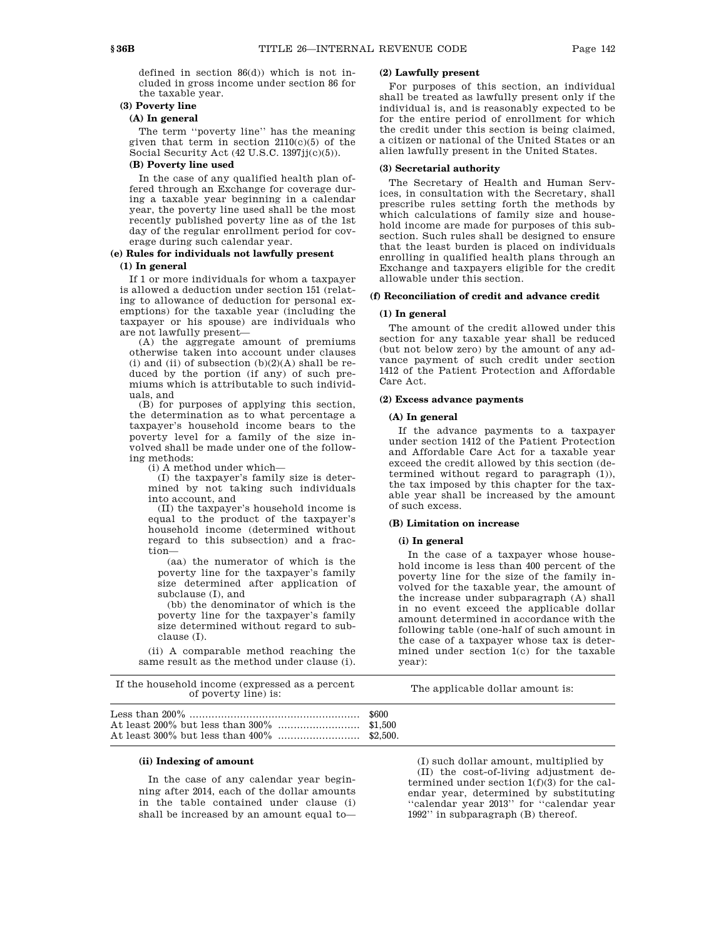defined in section 86(d)) which is not included in gross income under section 86 for the taxable year.

# **(3) Poverty line**

## **(A) In general**

The term ''poverty line'' has the meaning given that term in section 2110(c)(5) of the Social Security Act (42 U.S.C. 1397jj(c)(5)).

## **(B) Poverty line used**

In the case of any qualified health plan offered through an Exchange for coverage during a taxable year beginning in a calendar year, the poverty line used shall be the most recently published poverty line as of the 1st day of the regular enrollment period for coverage during such calendar year.

## **(e) Rules for individuals not lawfully present (1) In general**

If 1 or more individuals for whom a taxpayer is allowed a deduction under section 151 (relating to allowance of deduction for personal exemptions) for the taxable year (including the taxpayer or his spouse) are individuals who are not lawfully present—

(A) the aggregate amount of premiums otherwise taken into account under clauses (i) and (ii) of subsection  $(b)(2)(A)$  shall be reduced by the portion (if any) of such premiums which is attributable to such individuals, and

(B) for purposes of applying this section, the determination as to what percentage a taxpayer's household income bears to the poverty level for a family of the size involved shall be made under one of the following methods:

(i) A method under which—

(I) the taxpayer's family size is determined by not taking such individuals into account, and

(II) the taxpayer's household income is equal to the product of the taxpayer's household income (determined without regard to this subsection) and a fraction—

(aa) the numerator of which is the poverty line for the taxpayer's family size determined after application of subclause (I), and

(bb) the denominator of which is the poverty line for the taxpayer's family size determined without regard to subclause (I).

(ii) A comparable method reaching the same result as the method under clause (i).

## **(2) Lawfully present**

For purposes of this section, an individual shall be treated as lawfully present only if the individual is, and is reasonably expected to be for the entire period of enrollment for which the credit under this section is being claimed, a citizen or national of the United States or an alien lawfully present in the United States.

## **(3) Secretarial authority**

The Secretary of Health and Human Services, in consultation with the Secretary, shall prescribe rules setting forth the methods by which calculations of family size and household income are made for purposes of this subsection. Such rules shall be designed to ensure that the least burden is placed on individuals enrolling in qualified health plans through an Exchange and taxpayers eligible for the credit allowable under this section.

## **(f) Reconciliation of credit and advance credit**

#### **(1) In general**

The amount of the credit allowed under this section for any taxable year shall be reduced (but not below zero) by the amount of any advance payment of such credit under section 1412 of the Patient Protection and Affordable Care Act.

#### **(2) Excess advance payments**

#### **(A) In general**

If the advance payments to a taxpayer under section 1412 of the Patient Protection and Affordable Care Act for a taxable year exceed the credit allowed by this section (determined without regard to paragraph (1)), the tax imposed by this chapter for the taxable year shall be increased by the amount of such excess.

## **(B) Limitation on increase**

#### **(i) In general**

In the case of a taxpayer whose household income is less than 400 percent of the poverty line for the size of the family involved for the taxable year, the amount of the increase under subparagraph (A) shall in no event exceed the applicable dollar amount determined in accordance with the following table (one-half of such amount in the case of a taxpayer whose tax is determined under section 1(c) for the taxable year):

| If the household income (expressed as a percent<br>of poverty line) is: | The applicable dollar amount is: |
|-------------------------------------------------------------------------|----------------------------------|
|                                                                         |                                  |
|                                                                         |                                  |

## **(ii) Indexing of amount**

In the case of any calendar year beginning after 2014, each of the dollar amounts in the table contained under clause (i) shall be increased by an amount equal to—

(I) such dollar amount, multiplied by (II) the cost-of-living adjustment determined under section 1(f)(3) for the calendar year, determined by substituting ''calendar year 2013'' for ''calendar year 1992'' in subparagraph (B) thereof.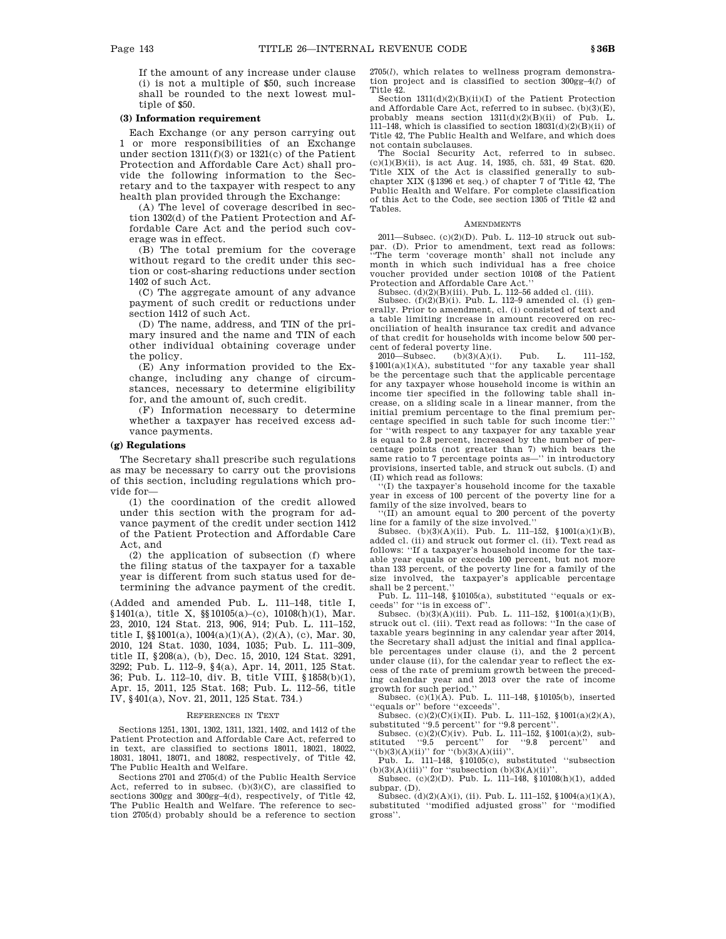If the amount of any increase under clause (i) is not a multiple of \$50, such increase shall be rounded to the next lowest multiple of \$50.

## **(3) Information requirement**

Each Exchange (or any person carrying out 1 or more responsibilities of an Exchange under section 1311(f)(3) or 1321(c) of the Patient Protection and Affordable Care Act) shall provide the following information to the Secretary and to the taxpayer with respect to any health plan provided through the Exchange:

(A) The level of coverage described in section 1302(d) of the Patient Protection and Affordable Care Act and the period such coverage was in effect.

(B) The total premium for the coverage without regard to the credit under this section or cost-sharing reductions under section 1402 of such Act.

(C) The aggregate amount of any advance payment of such credit or reductions under section 1412 of such Act.

(D) The name, address, and TIN of the primary insured and the name and TIN of each other individual obtaining coverage under the policy.

(E) Any information provided to the Exchange, including any change of circumstances, necessary to determine eligibility for, and the amount of, such credit.

(F) Information necessary to determine whether a taxpayer has received excess advance payments.

## **(g) Regulations**

The Secretary shall prescribe such regulations as may be necessary to carry out the provisions of this section, including regulations which provide for—

(1) the coordination of the credit allowed under this section with the program for advance payment of the credit under section 1412 of the Patient Protection and Affordable Care Act, and

(2) the application of subsection (f) where the filing status of the taxpayer for a taxable year is different from such status used for determining the advance payment of the credit.

(Added and amended Pub. L. 111–148, title I, §1401(a), title X, §§10105(a)–(c), 10108(h)(1), Mar. 23, 2010, 124 Stat. 213, 906, 914; Pub. L. 111–152, title I, §§1001(a), 1004(a)(1)(A), (2)(A), (c), Mar. 30, 2010, 124 Stat. 1030, 1034, 1035; Pub. L. 111–309, title II, §208(a), (b), Dec. 15, 2010, 124 Stat. 3291, 3292; Pub. L. 112–9, §4(a), Apr. 14, 2011, 125 Stat. 36; Pub. L. 112–10, div. B, title VIII, §1858(b)(1), Apr. 15, 2011, 125 Stat. 168; Pub. L. 112–56, title IV, §401(a), Nov. 21, 2011, 125 Stat. 734.)

#### REFERENCES IN TEXT

Sections 1251, 1301, 1302, 1311, 1321, 1402, and 1412 of the Patient Protection and Affordable Care Act, referred to in text, are classified to sections 18011, 18021, 18022, 18031, 18041, 18071, and 18082, respectively, of Title 42, The Public Health and Welfare.

Sections 2701 and 2705(d) of the Public Health Service Act, referred to in subsec. (b)(3)(C), are classified to sections 300gg and 300gg–4(d), respectively, of Title 42, The Public Health and Welfare. The reference to section 2705(d) probably should be a reference to section 2705(*l*), which relates to wellness program demonstration project and is classified to section 300gg–4(*l*) of Title 42.

Section 1311(d)(2)(B)(ii)(I) of the Patient Protection and Affordable Care Act, referred to in subsec. (b)(3)(E), probably means section 1311(d)(2)(B)(ii) of Pub. L. 111–148, which is classified to section  $18031(d)(2)(B)(ii)$  of Title 42, The Public Health and Welfare, and which does not contain subclauses.

The Social Security Act, referred to in subsec. (c)(1)(B)(ii), is act Aug. 14, 1935, ch. 531, 49 Stat. 620. Title XIX of the Act is classified generally to subchapter XIX (§1396 et seq.) of chapter 7 of Title 42, The Public Health and Welfare. For complete classification of this Act to the Code, see section 1305 of Title 42 and Tables.

#### AMENDMENTS

2011—Subsec. (c)(2)(D). Pub. L. 112–10 struck out subpar. (D). Prior to amendment, text read as follows: ''The term 'coverage month' shall not include any month in which such individual has a free choice voucher provided under section 10108 of the Patient Protection and Affordable Care Act.''

Subsec. (d)(2)(B)(iii). Pub. L. 112–56 added cl. (iii). Subsec. (f)(2)(B)(i). Pub. L. 112–9 amended cl. (i) gen-

erally. Prior to amendment, cl. (i) consisted of text and a table limiting increase in amount recovered on reconciliation of health insurance tax credit and advance of that credit for households with income below 500 per-

cent of federal poverty line.<br>2010—Subsec.  $\qquad {\rm (b)} {\rm (3)} {\rm (A)} {\rm (i)}.$ 2010—Subsec. (b)(3)(A)(i). Pub. L. 111–152, §1001(a)(1)(A), substituted ''for any taxable year shall be the percentage such that the applicable percentage for any taxpayer whose household income is within an income tier specified in the following table shall increase, on a sliding scale in a linear manner, from the initial premium percentage to the final premium per-centage specified in such table for such income tier:'' for ''with respect to any taxpayer for any taxable year is equal to 2.8 percent, increased by the number of percentage points (not greater than 7) which bears the same ratio to 7 percentage points as—'' in introductory provisions, inserted table, and struck out subcls. (I) and (II) which read as follows:

''(I) the taxpayer's household income for the taxable year in excess of 100 percent of the poverty line for a family of the size involved, bears to

''(II) an amount equal to 200 percent of the poverty line for a family of the size involved.''

Subsec. (b)(3)(A)(ii). Pub. L. 111–152,  $$1001(a)(1)(B)$ , added cl. (ii) and struck out former cl. (ii). Text read as follows: ''If a taxpayer's household income for the taxable year equals or exceeds 100 percent, but not more than 133 percent, of the poverty line for a family of the size involved, the taxpayer's applicable percentage shall be 2 percent.''

Pub. L. 111–148, §10105(a), substituted ''equals or ex-ceeds'' for ''is in excess of''.

Subsec.  $(b)(3)(A)(iii)$ . Pub. L. 111–152, §1001(a)(1)(B), struck out cl. (iii). Text read as follows: "In the case of taxable years beginning in any calendar year after 2014, the Secretary shall adjust the initial and final applicable percentages under clause (i), and the 2 percent under clause (ii), for the calendar year to reflect the excess of the rate of premium growth between the preceding calendar year and 2013 over the rate of income growth for such period.''

Subsec. (c)(1)(A). Pub. L. 111–148, §10105(b), inserted ''equals or'' before ''exceeds''.

Subsec. (c)(2)(C)(i)(II). Pub. L. 111–152, §1001(a)(2)(A), substituted ''9.5 percent'' for ''9.8 percent''.

Subsec. (c)(2)(C)(iv). Pub. L. 111–152, §1001(a)(2), substituted '9.5 percent'' for '9.8 percent'' and  $f'(b)(3)(A)(ii)$ " for  $f''(b)(3)(A)(iii)$ "

Pub. L. 111–148, §10105(c), substituted ''subsection  $(b)(3)(A)(iii)$ " for "subsection  $(b)(3)(A)(ii)$ 

Subsec. (c)(2)(D). Pub. L. 111–148, §10108(h)(1), added subpar. (D).

Subsec. (d)(2)(A)(i), (ii). Pub. L. 111–152, §1004(a)(1)(A), substituted ''modified adjusted gross'' for ''modified gross''.